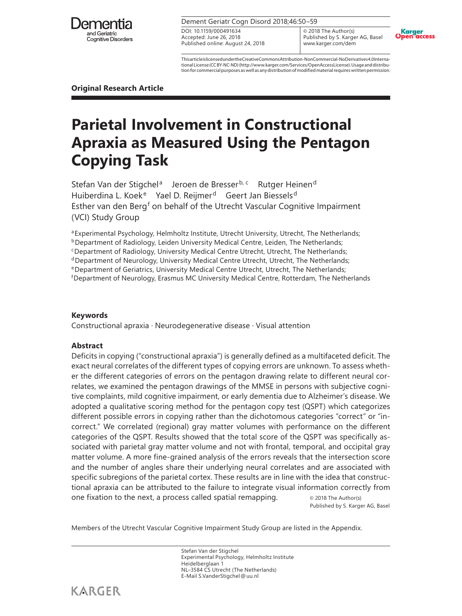

#### Dement Geriatr Cogn Disord 2018;46:50–59

Accepted: June 26, 2018 Published online: August 24, 2018 DOI: 10.1159/000491634

© 2018 The Author(s) Published by S. Karger AG, Basel www.karger.com/dem



This article is licensed under the Creative Commons Attribution-NonCommercial-NoDerivatives 4.0 International License (CC BY-NC-ND) (http://www.karger.com/Services/OpenAccessLicense). Usage and distribution for commercial purposes as well as any distribution of modified material requires written permission.

**Original Research Article**

# **Parietal Involvement in Constructional Apraxia as Measured Using the Pentagon Copying Task**

Stefan Van der Stigchel<sup>a</sup> Jeroen de Bresser<sup>b, c</sup> Rutger Heinen<sup>d</sup> Huiberdina L. Koek<sup>e</sup> Yael D. Reijmer<sup>d</sup> Geert Jan Biessels<sup>d</sup> Esther van den Berg<sup>f</sup> on behalf of the Utrecht Vascular Cognitive Impairment (VCI) Study Group

<sup>a</sup> Experimental Psychology, Helmholtz Institute, Utrecht University, Utrecht, The Netherlands; <sup>b</sup>Department of Radiology, Leiden University Medical Centre, Leiden, The Netherlands;<br><sup>c</sup>Department of Radiology, University Medical Centre Utrecht, Utrecht, The Netherlands;  $\rm ^d$ Department of Neurology, University Medical Centre Utrecht, Utrecht, The Netherlands;<br>eDepartment of Geriatrics, University Medical Centre Utrecht, Utrecht, The Netherlands; f Department of Neurology, Erasmus MC University Medical Centre, Rotterdam, The Netherlands

## **Keywords**

Constructional apraxia · Neurodegenerative disease · Visual attention

# **Abstract**

Deficits in copying ("constructional apraxia") is generally defined as a multifaceted deficit. The exact neural correlates of the different types of copying errors are unknown. To assess whether the different categories of errors on the pentagon drawing relate to different neural correlates, we examined the pentagon drawings of the MMSE in persons with subjective cognitive complaints, mild cognitive impairment, or early dementia due to Alzheimer's disease. We adopted a qualitative scoring method for the pentagon copy test (QSPT) which categorizes different possible errors in copying rather than the dichotomous categories "correct" or "incorrect." We correlated (regional) gray matter volumes with performance on the different categories of the QSPT. Results showed that the total score of the QSPT was specifically associated with parietal gray matter volume and not with frontal, temporal, and occipital gray matter volume. A more fine-grained analysis of the errors reveals that the intersection score and the number of angles share their underlying neural correlates and are associated with specific subregions of the parietal cortex. These results are in line with the idea that constructional apraxia can be attributed to the failure to integrate visual information correctly from one fixation to the next, a process called spatial remapping.  $\qquad \circ$  2018 The Author(s)

Published by S. Karger AG, Basel

Members of the Utrecht Vascular Cognitive Impairment Study Group are listed in the Appendix.

Stefan Van der Stigchel Experimental Psychology, Helmholtz Institute Heidelberglaan 1 NL–3584 CS Utrecht (The Netherlands) E-Mail S.VanderStigchel@uu.nl

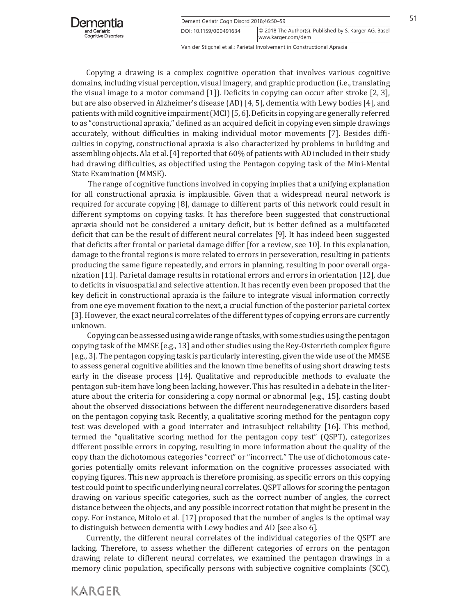| Dement Geriatr Cogn Disord 2018;46:50-59 |                                                        |  |
|------------------------------------------|--------------------------------------------------------|--|
| DOI: 10.1159/000491634                   | © 2018 The Author(s). Published by S. Karger AG, Basel |  |



www.karger.com/dem

Copying a drawing is a complex cognitive operation that involves various cognitive domains, including visual perception, visual imagery, and graphic production (i.e., translating the visual image to a motor command [1]). Deficits in copying can occur after stroke [2, 3], but are also observed in Alzheimer's disease (AD) [4, 5], dementia with Lewy bodies [4], and patients with mild cognitive impairment (MCI) [5, 6]. Deficits in copying are generally referred to as "constructional apraxia," defined as an acquired deficit in copying even simple drawings accurately, without difficulties in making individual motor movements [7]. Besides difficulties in copying, constructional apraxia is also characterized by problems in building and assembling objects. Ala et al. [4] reported that 60% of patients with AD included in their study had drawing difficulties, as objectified using the Pentagon copying task of the Mini-Mental State Examination (MMSE).

 The range of cognitive functions involved in copying implies that a unifying explanation for all constructional apraxia is implausible. Given that a widespread neural network is required for accurate copying [8], damage to different parts of this network could result in different symptoms on copying tasks. It has therefore been suggested that constructional apraxia should not be considered a unitary deficit, but is better defined as a multifaceted deficit that can be the result of different neural correlates [9]. It has indeed been suggested that deficits after frontal or parietal damage differ [for a review, see 10]. In this explanation, damage to the frontal regions is more related to errors in perseveration, resulting in patients producing the same figure repeatedly, and errors in planning, resulting in poor overall organization [11]. Parietal damage results in rotational errors and errors in orientation [12], due to deficits in visuospatial and selective attention. It has recently even been proposed that the key deficit in constructional apraxia is the failure to integrate visual information correctly from one eye movement fixation to the next, a crucial function of the posterior parietal cortex [3]. However, the exact neural correlates of the different types of copying errors are currently unknown.

 Copying can be assessed using a wide range of tasks, with some studies using the pentagon copying task of the MMSE [e.g., 13] and other studies using the Rey-Osterrieth complex figure [e.g., 3]. The pentagon copying task is particularly interesting, given the wide use of the MMSE to assess general cognitive abilities and the known time benefits of using short drawing tests early in the disease process [14]. Qualitative and reproducible methods to evaluate the pentagon sub-item have long been lacking, however. This has resulted in a debate in the literature about the criteria for considering a copy normal or abnormal [e.g., 15], casting doubt about the observed dissociations between the different neurodegenerative disorders based on the pentagon copying task. Recently, a qualitative scoring method for the pentagon copy test was developed with a good interrater and intrasubject reliability [16]. This method, termed the "qualitative scoring method for the pentagon copy test" (QSPT), categorizes different possible errors in copying, resulting in more information about the quality of the copy than the dichotomous categories "correct" or "incorrect." The use of dichotomous categories potentially omits relevant information on the cognitive processes associated with copying figures. This new approach is therefore promising, as specific errors on this copying test could point to specific underlying neural correlates. QSPT allows for scoring the pentagon drawing on various specific categories, such as the correct number of angles, the correct distance between the objects, and any possible incorrect rotation that might be present in the copy. For instance, Mitolo et al. [17] proposed that the number of angles is the optimal way to distinguish between dementia with Lewy bodies and AD [see also 6].

Currently, the different neural correlates of the individual categories of the QSPT are lacking. Therefore, to assess whether the different categories of errors on the pentagon drawing relate to different neural correlates, we examined the pentagon drawings in a memory clinic population, specifically persons with subjective cognitive complaints (SCC),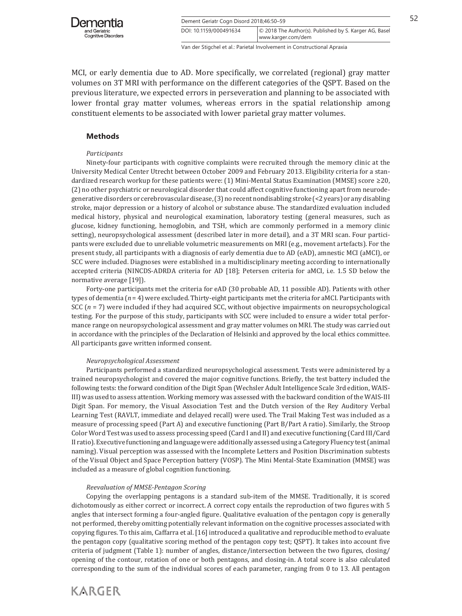

| Dement Geriatr Cogn Disord 2018;46:50-59 |                                                                              | - - |
|------------------------------------------|------------------------------------------------------------------------------|-----|
| DOI: 10.1159/000491634                   | © 2018 The Author(s). Published by S. Karger AG, Basel<br>www.karger.com/dem |     |

MCI, or early dementia due to AD. More specifically, we correlated (regional) gray matter volumes on 3T MRI with performance on the different categories of the QSPT. Based on the previous literature, we expected errors in perseveration and planning to be associated with lower frontal gray matter volumes, whereas errors in the spatial relationship among constituent elements to be associated with lower parietal gray matter volumes.

## **Methods**

#### *Participants*

Ninety-four participants with cognitive complaints were recruited through the memory clinic at the University Medical Center Utrecht between October 2009 and February 2013. Eligibility criteria for a standardized research workup for these patients were: (1) Mini-Mental Status Examination (MMSE) score  $\geq$ 20, (2) no other psychiatric or neurological disorder that could affect cognitive functioning apart from neurodegenerative disorders or cerebrovascular disease, (3) no recent nondisabling stroke (<2 years) or any disabling stroke, major depression or a history of alcohol or substance abuse. The standardized evaluation included medical history, physical and neurological examination, laboratory testing (general measures, such as glucose, kidney functioning, hemoglobin, and TSH, which are commonly performed in a memory clinic setting), neuropsychological assessment (described later in more detail), and a 3T MRI scan. Four participants were excluded due to unreliable volumetric measurements on MRI (e.g., movement artefacts). For the present study, all participants with a diagnosis of early dementia due to AD (eAD), amnestic MCI (aMCI), or SCC were included. Diagnoses were established in a multidisciplinary meeting according to internationally accepted criteria (NINCDS-ADRDA criteria for AD [18]; Petersen criteria for aMCI, i.e. 1.5 SD below the normative average [19]).

Forty-one participants met the criteria for eAD (30 probable AD, 11 possible AD). Patients with other types of dementia (*n* = 4) were excluded. Thirty-eight participants met the criteria for aMCI. Participants with SCC (*n* = 7) were included if they had acquired SCC, without objective impairments on neuropsychological testing. For the purpose of this study, participants with SCC were included to ensure a wider total performance range on neuropsychological assessment and gray matter volumes on MRI. The study was carried out in accordance with the principles of the Declaration of Helsinki and approved by the local ethics committee. All participants gave written informed consent.

#### *Neuropsychological Assessment*

Participants performed a standardized neuropsychological assessment. Tests were administered by a trained neuropsychologist and covered the major cognitive functions. Briefly, the test battery included the following tests: the forward condition of the Digit Span (Wechsler Adult Intelligence Scale 3rd edition, WAIS-III) was used to assess attention. Working memory was assessed with the backward condition of the WAIS-III Digit Span. For memory, the Visual Association Test and the Dutch version of the Rey Auditory Verbal Learning Test (RAVLT, immediate and delayed recall) were used. The Trail Making Test was included as a measure of processing speed (Part A) and executive functioning (Part B/Part A ratio). Similarly, the Stroop Color Word Test was used to assess processing speed (Card I and II) and executive functioning (Card III/Card II ratio). Executive functioning and language were additionally assessed using a Category Fluency test (animal naming). Visual perception was assessed with the Incomplete Letters and Position Discrimination subtests of the Visual Object and Space Perception battery (VOSP). The Mini Mental-State Examination (MMSE) was included as a measure of global cognition functioning.

## *Reevaluation of MMSE-Pentagon Scoring*

Copying the overlapping pentagons is a standard sub-item of the MMSE. Traditionally, it is scored dichotomously as either correct or incorrect. A correct copy entails the reproduction of two figures with 5 angles that intersect forming a four-angled figure. Qualitative evaluation of the pentagon copy is generally not performed, thereby omitting potentially relevant information on the cognitive processes associated with copying figures. To this aim, Caffarra et al. [16] introduced a qualitative and reproducible method to evaluate the pentagon copy (qualitative scoring method of the pentagon copy test; QSPT). It takes into account five criteria of judgment (Table 1): number of angles, distance/intersection between the two figures, closing/ opening of the contour, rotation of one or both pentagons, and closing-in. A total score is also calculated corresponding to the sum of the individual scores of each parameter, ranging from 0 to 13. All pentagon

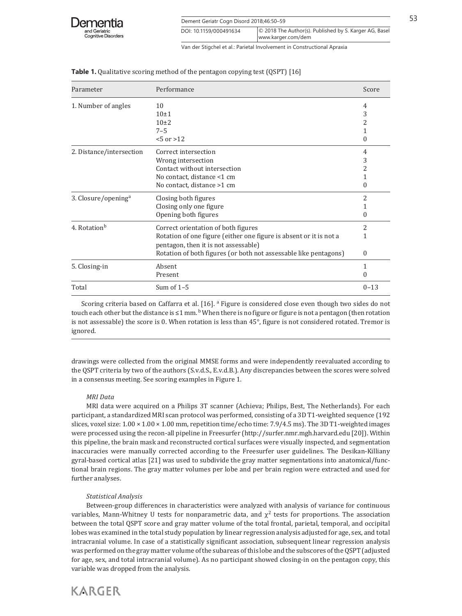| mentia                             | Dement Geriatr Cogn Disord 2018;46:50-59 |                                                                              |  |
|------------------------------------|------------------------------------------|------------------------------------------------------------------------------|--|
| ıd Geriatric<br>ognitive Disorders | DOI: 10.1159/000491634                   | © 2018 The Author(s). Published by S. Karger AG, Basel<br>www.karger.com/dem |  |
|                                    |                                          | Van der Stigchel et al.: Parietal Involvement in Constructional Apraxia      |  |

| Parameter                       | Performance                                                        | Score          |
|---------------------------------|--------------------------------------------------------------------|----------------|
| 1. Number of angles             | 10                                                                 | 4              |
|                                 | $10+1$                                                             | 3              |
|                                 | $10+2$                                                             | 2              |
|                                 | $7 - 5$                                                            | 1              |
|                                 | $5$ or $>12$                                                       | $\Omega$       |
| 2. Distance/intersection        | Correct intersection                                               | 4              |
|                                 | Wrong intersection                                                 | 3              |
|                                 | Contact without intersection                                       | 2              |
|                                 | No contact, distance <1 cm                                         | 1              |
|                                 | No contact, distance >1 cm                                         | $\Omega$       |
| 3. Closure/opening <sup>a</sup> | Closing both figures                                               | 2              |
|                                 | Closing only one figure                                            | 1              |
|                                 | Opening both figures                                               | $\Omega$       |
| 4. Rotation <sup>b</sup>        | Correct orientation of both figures                                | $\overline{c}$ |
|                                 | Rotation of one figure (either one figure is absent or it is not a |                |
|                                 | pentagon, then it is not assessable)                               |                |
|                                 | Rotation of both figures (or both not assessable like pentagons)   | $\Omega$       |
| 5. Closing-in                   | Absent                                                             | 1              |
|                                 | Present                                                            | 0              |
| Total                           | Sum of $1-5$                                                       | $0 - 13$       |

#### **Table 1.** Qualitative scoring method of the pentagon copying test (QSPT) [16]

Scoring criteria based on Caffarra et al. [16]. <sup>a</sup> Figure is considered close even though two sides do not touch each other but the distance is  $\leq 1$  mm. <sup>b</sup> When there is no figure or figure is not a pentagon (then rotation is not assessable) the score is 0. When rotation is less than 45°, figure is not considered rotated. Tremor is ignored.

drawings were collected from the original MMSE forms and were independently reevaluated according to the QSPT criteria by two of the authors (S.v.d.S., E.v.d.B.). Any discrepancies between the scores were solved in a consensus meeting. See scoring examples in Figure 1.

#### *MRI Data*

MRI data were acquired on a Philips 3T scanner (Achieva; Philips, Best, The Netherlands). For each participant, a standardized MRI scan protocol was performed, consisting of a 3D T1-weighted sequence (192 slices, voxel size: 1.00 × 1.00 × 1.00 mm, repetition time/echo time: 7.9/4.5 ms). The 3D T1-weighted images were processed using the recon-all pipeline in Freesurfer (http://surfer.nmr.mgh.harvard.edu [20]). Within this pipeline, the brain mask and reconstructed cortical surfaces were visually inspected, and segmentation inaccuracies were manually corrected according to the Freesurfer user guidelines. The Desikan-Killiany gyral-based cortical atlas [21] was used to subdivide the gray matter segmentations into anatomical/functional brain regions. The gray matter volumes per lobe and per brain region were extracted and used for further analyses.

#### *Statistical Analysis*

Between-group differences in characteristics were analyzed with analysis of variance for continuous variables, Mann-Whitney U tests for nonparametric data, and  $\chi^2$  tests for proportions. The association between the total QSPT score and gray matter volume of the total frontal, parietal, temporal, and occipital lobes was examined in the total study population by linear regression analysis adjusted for age, sex, and total intracranial volume. In case of a statistically significant association, subsequent linear regression analysis was performed on the gray matter volume of the subareas of this lobe and the subscores of the QSPT (adjusted for age, sex, and total intracranial volume). As no participant showed closing-in on the pentagon copy, this variable was dropped from the analysis.

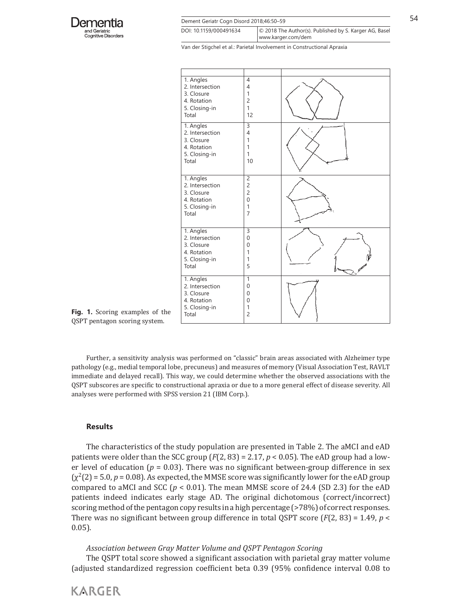

Dement Geriatr Cogn Disord 2018;46:50–59 54

| Dement Genati Count Disorti 2016,46.50-59 |                                                        |
|-------------------------------------------|--------------------------------------------------------|
| DOI: 10.1159/000491634                    | © 2018 The Author(s). Published by S. Karger AG, Basel |
|                                           | www.karger.com/dem                                     |

Van der Stigchel et al.: Parietal Involvement in Constructional Apraxia



**Fig. 1.** Scoring examples of the QSPT pentagon scoring system.

Further, a sensitivity analysis was performed on "classic" brain areas associated with Alzheimer type pathology (e.g., medial temporal lobe, precuneus) and measures of memory (Visual Association Test, RAVLT immediate and delayed recall). This way, we could determine whether the observed associations with the QSPT subscores are specific to constructional apraxia or due to a more general effect of disease severity. All analyses were performed with SPSS version 21 (IBM Corp.).

## **Results**

**KARGER** 

The characteristics of the study population are presented in Table 2. The aMCI and eAD patients were older than the SCC group  $(F(2, 83) = 2.17, p < 0.05)$ . The eAD group had a lower level of education ( $p = 0.03$ ). There was no significant between-group difference in sex  $(\chi^2(2) = 5.0, p = 0.08)$ . As expected, the MMSE score was significantly lower for the eAD group compared to aMCI and SCC ( $p < 0.01$ ). The mean MMSE score of 24.4 (SD 2.3) for the eAD patients indeed indicates early stage AD. The original dichotomous (correct/incorrect) scoring method of the pentagon copy results in a high percentage (>78%) of correct responses. There was no significant between group difference in total QSPT score  $(F(2, 83) = 1.49, p <$ 0.05).

## *Association between Gray Matter Volume and QSPT Pentagon Scoring*

The QSPT total score showed a significant association with parietal gray matter volume (adjusted standardized regression coefficient beta 0.39 (95% confidence interval 0.08 to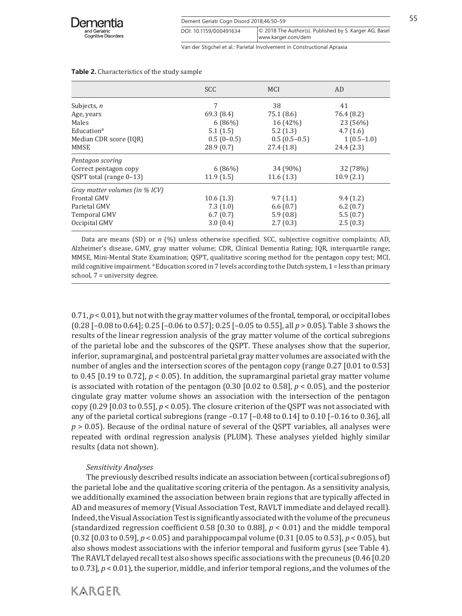| Dement Geriatr Cogn Disord 2018;46:50-59 |                                                                              |  |
|------------------------------------------|------------------------------------------------------------------------------|--|
| DOI: 10.1159/000491634                   | © 2018 The Author(s). Published by S. Karger AG, Basel<br>www.karger.com/dem |  |

|                                | <b>SCC</b>   | <b>MCI</b>     | AD           |
|--------------------------------|--------------|----------------|--------------|
| Subjects, n                    | 7            | 38             | 41           |
| Age, years                     | 69.3(8.4)    | 75.1 (8.6)     | 76.4 (8.2)   |
| Males                          | 6(86%)       | 16 (42%)       | 23 (56%)     |
| Education <sup>a</sup>         | 5.1(1.5)     | 5.2(1.3)       | 4.7(1.6)     |
| Median CDR score (IQR)         | $0.5(0-0.5)$ | $0.5(0.5-0.5)$ | $1(0.5-1.0)$ |
| <b>MMSE</b>                    | 28.9(0.7)    | 27.4(1.8)      | 24.4(2.3)    |
| Pentagon scoring               |              |                |              |
| Correct pentagon copy          | 6(86%)       | 34 (90%)       | 32 (78%)     |
| OSPT total (range 0-13)        | 11.9(1.5)    | 11.6(1.3)      | 10.9(2.1)    |
| Gray matter volumes (in % ICV) |              |                |              |
| <b>Frontal GMV</b>             | 10.6(1.3)    | 9.7(1.1)       | 9.4(1.2)     |
| Parietal GMV                   | 7.3(1.0)     | 6.6(0.7)       | 6.2(0.7)     |
| Temporal GMV                   | 6.7(0.7)     | 5.9(0.8)       | 5.5(0.7)     |
| Occipital GMV                  | 3.0(0.4)     | 2.7(0.3)       | 2.5(0.3)     |
|                                |              |                |              |

#### **Table 2.** Characteristics of the study sample

Data are means (SD) or *n* (%) unless otherwise specified. SCC, subjective cognitive complaints; AD, Alzheimer's disease, GMV, gray matter volume; CDR, Clinical Dementia Rating; IQR, interquartile range; MMSE, Mini-Mental State Examination; QSPT, qualitative scoring method for the pentagon copy test; MCI, mild cognitive impairment. <sup>a</sup> Education scored in 7 levels according to the Dutch system, 1 = less than primary school, 7 = university degree.

0.71, *p* < 0.01), but not with the gray matter volumes of the frontal, temporal, or occipital lobes (0.28 [–0.08 to 0.64]; 0.25 [–0.06 to 0.57]; 0.25 [–0.05 to 0.55], all *p* > 0.05). Table 3 shows the results of the linear regression analysis of the gray matter volume of the cortical subregions of the parietal lobe and the subscores of the QSPT. These analyses show that the superior, inferior, supramarginal, and postcentral parietal gray matter volumes are associated with the number of angles and the intersection scores of the pentagon copy (range 0.27 [0.01 to 0.53] to 0.45 [0.19 to 0.72],  $p < 0.05$ ). In addition, the supramarginal parietal gray matter volume is associated with rotation of the pentagon  $(0.30 \, [0.02 \, \text{to} \, 0.58], p < 0.05)$ , and the posterior cingulate gray matter volume shows an association with the intersection of the pentagon copy (0.29 [0.03 to 0.55], *p* < 0.05). The closure criterion of the QSPT was not associated with any of the parietal cortical subregions (range –0.17 [–0.48 to 0.14] to 0.10 [–0.16 to 0.36], all *p* > 0.05). Because of the ordinal nature of several of the QSPT variables, all analyses were repeated with ordinal regression analysis (PLUM). These analyses yielded highly similar results (data not shown).

## *Sensitivity Analyses*

**KARGER** 

The previously described results indicate an association between (cortical subregions of) the parietal lobe and the qualitative scoring criteria of the pentagon. As a sensitivity analysis, we additionally examined the association between brain regions that are typically affected in AD and measures of memory (Visual Association Test, RAVLT immediate and delayed recall). Indeed, the Visual Association Test is significantly associated with the volume of the precuneus (standardized regression coefficient 0.58 [0.30 to 0.88], *p* < 0.01) and the middle temporal (0.32 [0.03 to 0.59], *p* < 0.05) and parahippocampal volume (0.31 [0.05 to 0.53], *p* < 0.05), but also shows modest associations with the inferior temporal and fusiform gyrus (see Table 4). The RAVLT delayed recall test also shows specific associations with the precuneus (0.46 [0.20 to 0.73], *p* < 0.01), the superior, middle, and inferior temporal regions, and the volumes of the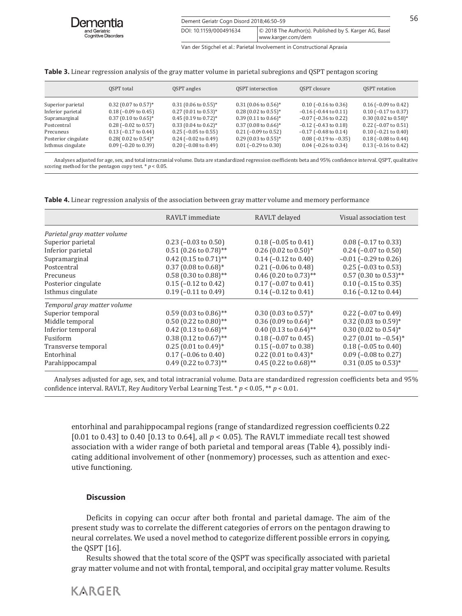| Dement Geriatr Cogn Disord 2018;46:50-59 |                                                                              |  |
|------------------------------------------|------------------------------------------------------------------------------|--|
| DOI: 10.1159/000491634                   | © 2018 The Author(s). Published by S. Karger AG, Basel<br>www.karger.com/dem |  |

|  |  |  | Table 3. Linear regression analysis of the gray matter volume in parietal subregions and QSPT pentagon scoring |  |  |  |
|--|--|--|----------------------------------------------------------------------------------------------------------------|--|--|--|
|--|--|--|----------------------------------------------------------------------------------------------------------------|--|--|--|

|                     | <b>OSPT</b> total                   | QSPT angles                        | <b>OSPT</b> intersection | OSPT closure                  | OSPT rotation          |
|---------------------|-------------------------------------|------------------------------------|--------------------------|-------------------------------|------------------------|
| Superior parietal   | $0.32$ (0.07 to $0.57$ )*           | $0.31$ (0.06 to 0.55) <sup>*</sup> | $0.31$ (0.06 to 0.56)*   | $0.10$ (-0.16 to 0.36)        | $0.16$ (-0.09 to 0.42) |
| Inferior parietal   | $0.18$ (-0.09 to 0.45)              | $0.27$ (0.01 to 0.53)*             | $0.28$ (0.02 to 0.55)*   | $-0.16$ ( $-0.44$ to $0.11$ ) | $0.10$ (-0.17 to 0.37) |
| Supramarginal       | $0.37$ (0.10 to $0.65$ )*           | $0.45$ (0.19 to 0.72) <sup>*</sup> | $0.39$ (0.11 to 0.66)*   | $-0.07$ ( $-0.36$ to 0.22)    | $0.30$ (0.02 to 0.58)* |
| Postcentral         | $0.28$ (-0.02 to 0.57)              | $0.33$ (0.04 to 0.62) <sup>*</sup> | $0.37$ (0.08 to 0.66)*   | $-0.12$ ( $-0.43$ to $0.18$ ) | $0.22$ (-0.07 to 0.51) |
| Precuneus           | $0.13$ (-0.17 to 0.44)              | $0.25$ (-0.05 to 0.55)             | $0.21$ (-0.09 to 0.52)   | $-0.17$ ( $-0.48$ to 0.14)    | $0.10$ (-0.21 to 0.40) |
| Posterior cingulate | 0.28( $0.02$ to $0.54$ <sup>*</sup> | $0.24$ (-0.02 to 0.49)             | $0.29$ (0.03 to 0.55)*   | $0.08$ (-0.19 to -0.35)       | $0.18$ (-0.08 to 0.44) |
| Isthmus cingulate   | $0.09$ (-0.20 to 0.39)              | $0.20$ (-0.08 to 0.49)             | $0.01$ (-0.29 to 0.30)   | $0.04$ (-0.26 to 0.34)        | $0.13$ (-0.16 to 0.42) |

Analyses adjusted for age, sex, and total intracranial volume. Data are standardized regression coefficients beta and 95% confidence interval. QSPT, qualitative scoring method for the pentagon copy test.  $* p < 0.05$ .

**Table 4.** Linear regression analysis of the association between gray matter volume and memory performance

|                             | RAVLT immediate                    | RAVLT delayed                      | Visual association test            |
|-----------------------------|------------------------------------|------------------------------------|------------------------------------|
| Parietal gray matter volume |                                    |                                    |                                    |
| Superior parietal           | $0.23$ (-0.03 to 0.50)             | $0.18$ (-0.05 to 0.41)             | $0.08$ (-0.17 to 0.33)             |
| Inferior parietal           | $0.51$ (0.26 to 0.78)**            | $0.26$ (0.02 to 0.50) <sup>*</sup> | $0.24$ (-0.07 to 0.50)             |
| Supramarginal               | $0.42$ (0.15 to 0.71)**            | $0.14$ (-0.12 to 0.40)             | $-0.01$ ( $-0.29$ to 0.26)         |
| Postcentral                 | $0.37$ (0.08 to 0.68)*             | $0.21$ (-0.06 to 0.48)             | $0.25$ (-0.03 to 0.53)             |
| Precuneus                   | $0.58$ (0.30 to 0.88)**            | $0.46$ (0.20 to 0.73)**            | $0.57$ (0.30 to 0.53)**            |
| Posterior cingulate         | $0.15$ (-0.12 to 0.42)             | $0.17$ (-0.07 to 0.41)             | $0.10$ (-0.15 to 0.35)             |
| Isthmus cingulate           | $0.19$ (-0.11 to 0.49)             | $0.14$ (-0.12 to 0.41)             | $0.16$ (-0.12 to 0.44)             |
| Temporal gray matter volume |                                    |                                    |                                    |
| Superior temporal           | $0.59$ (0.03 to 0.86)**            | $0.30$ (0.03 to 0.57) <sup>*</sup> | $0.22$ (-0.07 to 0.49)             |
| Middle temporal             | $0.50$ (0.22 to 0.80)**            | $0.36$ (0.09 to 0.64) <sup>*</sup> | $0.32$ (0.03 to 0.59)*             |
| Inferior temporal           | $0.42$ (0.13 to $0.68$ )**         | 0.40 (0.13 to 0.64)**              | $0.30$ (0.02 to 0.54) <sup>*</sup> |
| Fusiform                    | $0.38$ (0.12 to 0.67)**            | $0.18$ (-0.07 to 0.45)             | $0.27$ (0.01 to $-0.54$ )*         |
| Transverse temporal         | $0.25$ (0.01 to 0.49) <sup>*</sup> | $0.15$ (-0.07 to 0.38)             | $0.18$ (-0.05 to 0.40)             |
| Entorhinal                  | $0.17$ (-0.06 to 0.40)             | $0.22$ (0.01 to 0.43) <sup>*</sup> | $0.09$ (-0.08 to 0.27)             |
| Parahippocampal             | $0.49$ (0.22 to 0.73)**            | $0.45$ (0.22 to 0.68)**            | $0.31$ (0.05 to 0.53) <sup>*</sup> |

Analyses adjusted for age, sex, and total intracranial volume. Data are standardized regression coefficients beta and 95% confidence interval. RAVLT, Rey Auditory Verbal Learning Test. \* *p* < 0.05, \*\* *p* < 0.01.

entorhinal and parahippocampal regions (range of standardized regression coefficients 0.22 [0.01 to 0.43] to 0.40 [0.13 to 0.64], all *p* < 0.05). The RAVLT immediate recall test showed association with a wider range of both parietal and temporal areas (Table 4), possibly indicating additional involvement of other (nonmemory) processes, such as attention and executive functioning.

# **Discussion**

**KARGER** 

Deficits in copying can occur after both frontal and parietal damage. The aim of the present study was to correlate the different categories of errors on the pentagon drawing to neural correlates. We used a novel method to categorize different possible errors in copying, the QSPT [16].

Results showed that the total score of the QSPT was specifically associated with parietal gray matter volume and not with frontal, temporal, and occipital gray matter volume. Results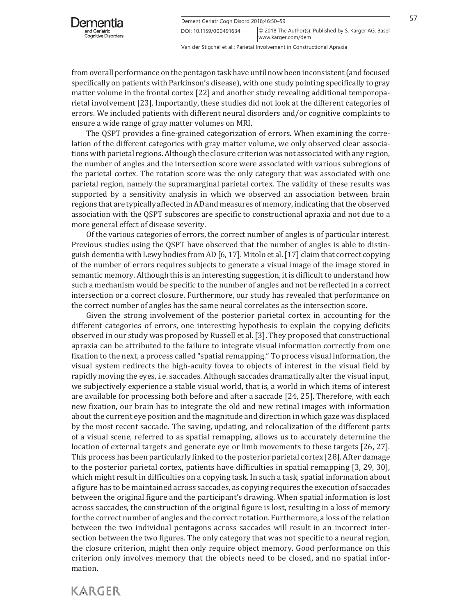



Dement Geriatr Cogn Disord 2018;46:50–59 57 www.karger.com/dem DOI: 10.1159/000491634 © 2018 The Author(s). Published by S. Karger AG, Basel

Van der Stigchel et al.: Parietal Involvement in Constructional Apraxia

from overall performance on the pentagon task have until now been inconsistent (and focused specifically on patients with Parkinson's disease), with one study pointing specifically to gray matter volume in the frontal cortex [22] and another study revealing additional temporoparietal involvement [23]. Importantly, these studies did not look at the different categories of errors. We included patients with different neural disorders and/or cognitive complaints to ensure a wide range of gray matter volumes on MRI.

The QSPT provides a fine-grained categorization of errors. When examining the correlation of the different categories with gray matter volume, we only observed clear associations with parietal regions. Although the closure criterion was not associated with any region, the number of angles and the intersection score were associated with various subregions of the parietal cortex. The rotation score was the only category that was associated with one parietal region, namely the supramarginal parietal cortex. The validity of these results was supported by a sensitivity analysis in which we observed an association between brain regions that are typically affected in AD and measures of memory, indicating that the observed association with the QSPT subscores are specific to constructional apraxia and not due to a more general effect of disease severity.

Of the various categories of errors, the correct number of angles is of particular interest. Previous studies using the QSPT have observed that the number of angles is able to distinguish dementia with Lewy bodies from AD [6, 17]. Mitolo et al. [17] claim that correct copying of the number of errors requires subjects to generate a visual image of the image stored in semantic memory. Although this is an interesting suggestion, it is difficult to understand how such a mechanism would be specific to the number of angles and not be reflected in a correct intersection or a correct closure. Furthermore, our study has revealed that performance on the correct number of angles has the same neural correlates as the intersection score.

Given the strong involvement of the posterior parietal cortex in accounting for the different categories of errors, one interesting hypothesis to explain the copying deficits observed in our study was proposed by Russell et al. [3]. They proposed that constructional apraxia can be attributed to the failure to integrate visual information correctly from one fixation to the next, a process called "spatial remapping." To process visual information, the visual system redirects the high-acuity fovea to objects of interest in the visual field by rapidly moving the eyes, i.e. saccades. Although saccades dramatically alter the visual input, we subjectively experience a stable visual world, that is, a world in which items of interest are available for processing both before and after a saccade [24, 25]. Therefore, with each new fixation, our brain has to integrate the old and new retinal images with information about the current eye position and the magnitude and direction in which gaze was displaced by the most recent saccade. The saving, updating, and relocalization of the different parts of a visual scene, referred to as spatial remapping, allows us to accurately determine the location of external targets and generate eye or limb movements to these targets [26, 27]. This process has been particularly linked to the posterior parietal cortex [28]. After damage to the posterior parietal cortex, patients have difficulties in spatial remapping [3, 29, 30], which might result in difficulties on a copying task. In such a task, spatial information about a figure has to be maintained across saccades, as copying requires the execution of saccades between the original figure and the participant's drawing. When spatial information is lost across saccades, the construction of the original figure is lost, resulting in a loss of memory for the correct number of angles and the correct rotation. Furthermore, a loss of the relation between the two individual pentagons across saccades will result in an incorrect intersection between the two figures. The only category that was not specific to a neural region, the closure criterion, might then only require object memory. Good performance on this criterion only involves memory that the objects need to be closed, and no spatial information.



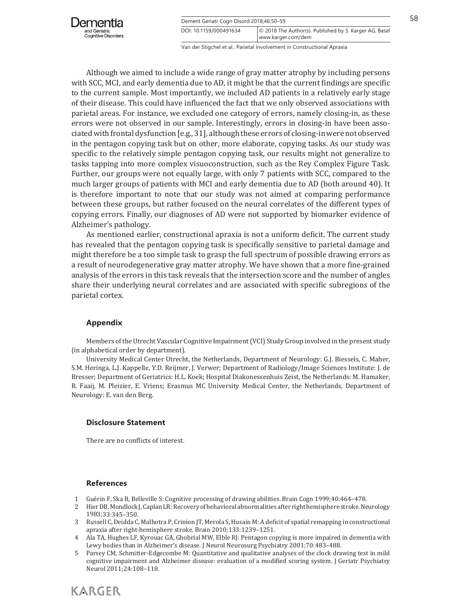

| Dement Geriatr Cogn Disord 2018;46:50-59 |                                                                              | 58 |
|------------------------------------------|------------------------------------------------------------------------------|----|
| DOI: 10.1159/000491634                   | © 2018 The Author(s). Published by S. Karger AG, Basel<br>www.karger.com/dem |    |

Although we aimed to include a wide range of gray matter atrophy by including persons with SCC, MCI, and early dementia due to AD, it might be that the current findings are specific to the current sample. Most importantly, we included AD patients in a relatively early stage of their disease. This could have influenced the fact that we only observed associations with parietal areas. For instance, we excluded one category of errors, namely closing-in, as these errors were not observed in our sample. Interestingly, errors in closing-in have been associated with frontal dysfunction [e.g., 31], although these errors of closing-in were not observed in the pentagon copying task but on other, more elaborate, copying tasks. As our study was specific to the relatively simple pentagon copying task, our results might not generalize to tasks tapping into more complex visuoconstruction, such as the Rey Complex Figure Task. Further, our groups were not equally large, with only 7 patients with SCC, compared to the much larger groups of patients with MCI and early dementia due to AD (both around 40). It is therefore important to note that our study was not aimed at comparing performance between these groups, but rather focused on the neural correlates of the different types of copying errors. Finally, our diagnoses of AD were not supported by biomarker evidence of Alzheimer's pathology.

As mentioned earlier, constructional apraxia is not a uniform deficit. The current study has revealed that the pentagon copying task is specifically sensitive to parietal damage and might therefore be a too simple task to grasp the full spectrum of possible drawing errors as a result of neurodegenerative gray matter atrophy. We have shown that a more fine-grained analysis of the errors in this task reveals that the intersection score and the number of angles share their underlying neural correlates and are associated with specific subregions of the parietal cortex.

## **Appendix**

Members of the Utrecht Vascular Cognitive Impairment (VCI) Study Group involved in the present study (in alphabetical order by department).

University Medical Center Utrecht, the Netherlands, Department of Neurology: G.J. Biessels, C. Maher, S.M. Heringa, L.J. Kappelle, Y.D. Reijmer, J. Verwer; Department of Radiology/Image Sciences Institute: J. de Bresser; Department of Geriatrics: H.L. Koek; Hospital Diakonessenhuis Zeist, the Netherlands: M. Hamaker, R. Faaij, M. Pleizier, E. Vriens; Erasmus MC University Medical Center, the Netherlands, Department of Neurology: E. van den Berg.

## **Disclosure Statement**

There are no conflicts of interest.

## **References**

- 1 Guérin F, Ska B, Belleville S: Cognitive processing of drawing abilities. Brain Cogn 1999;40:464–478.
- 2 Hier DB, Mondlock J, Caplan LR: Recovery of behavioral abnormalities after right hemisphere stroke. Neurology 1983;33:345–350.
- 3 Russell C, Deidda C, Malhotra P, Crinion JT, Merola S, Husain M: A deficit of spatial remapping in constructional apraxia after right-hemisphere stroke. Brain 2010;133:1239–1251.
- 4 Ala TA, Hughes LF, Kyrouac GA, Ghobrial MW, Elble RJ: Pentagon copying is more impaired in dementia with Lewy bodies than in Alzheimer's disease. J Neurol Neurosurg Psychiatry 2001;70:483–488.
- 5 Parsey CM, Schmitter-Edgecombe M: Quantitative and qualitative analyses of the clock drawing test in mild cognitive impairment and Alzheimer disease: evaluation of a modified scoring system. J Geriatr Psychiatry Neurol 2011;24:108–118.